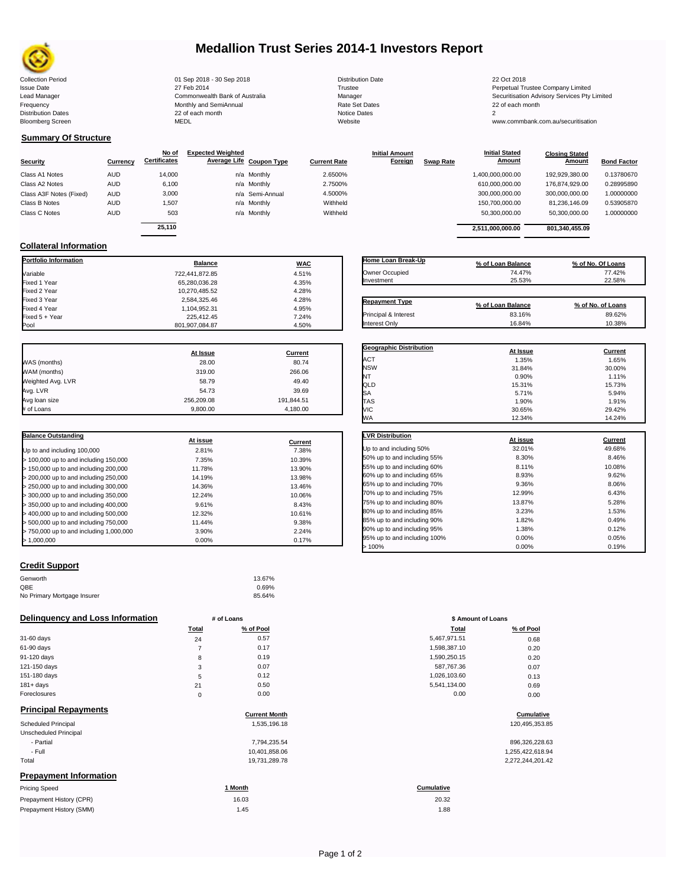

# **Medallion Trust Series 2014-1 Investors Report**

Collection Period 22 Oct 2018 - 30 Sep 2018 - 30 Sep 2018 Distribution Date 22 Oct 2018 Issue Date 2014 27 Feb 2014 27 Feb 2014<br>Isaad Manager 2015 2017 Commonwealth Bank of Australia 2016 Manager 2016 2017 2017 Securitisation Advisory Services Pty Frequency Communication Communication Monthly and SemiAnnual Communication Communication Communication Communication Communication Communication Communication Communication Communication Communication Communication Communi 22 of each month 2 of each month 2 of each month 2 of each month Notice Dates 2 of each month 2 of each month Notice Dates 2 of each month 2 of the Notice Dates 2 of the Notice Dates 2 of the Notice Dates 2 of the Notice D Bloomberg Screen MEDL Website www.commbank.com.au/securitisation

Lead Manager **Commonwealth Bank of Australia** Manager Manager Securitisation Advisory Services Pty Limited

**Closing Stated Amount**

## **Summary Of Structure**

**Collateral Information**

|                         |            | No of               | <b>Expected Weighted</b> |                     | <b>Initial Amount</b> |                  | <b>Initial Stated</b> | <b>Closing Stated</b> |                    |
|-------------------------|------------|---------------------|--------------------------|---------------------|-----------------------|------------------|-----------------------|-----------------------|--------------------|
| <b>Security</b>         | Currency   | <b>Certificates</b> | Average Life Coupon Type | <b>Current Rate</b> | Foreign               | <b>Swap Rate</b> | <b>Amount</b>         | Amount                | <b>Bond Factor</b> |
| Class A1 Notes          | <b>AUD</b> | 14.000              | n/a Monthly              | 2.6500%             |                       |                  | 1,400,000,000.00      | 192.929.380.00        | 0.13780670         |
| Class A2 Notes          | <b>AUD</b> | 6,100               | n/a Monthly              | 2.7500%             |                       |                  | 610,000,000.00        | 176.874.929.00        | 0.28995890         |
| Class A3F Notes (Fixed) | <b>AUD</b> | 3,000               | n/a Semi-Annual          | 4.5000%             |                       |                  | 300,000,000.00        | 300,000,000.00        | 1.00000000         |
| Class B Notes           | <b>AUD</b> | 1.507               | n/a Monthly              | Withheld            |                       |                  | 150.700.000.00        | 81.236.146.09         | 0.53905870         |
| Class C Notes           | <b>AUD</b> | 503                 | n/a Monthly              | Withheld            |                       |                  | 50,300,000.00         | 50,300,000.00         | 1.00000000         |
|                         |            | 25.110              |                          |                     |                       |                  | 2.511.000.000.00      | 801.340.455.09        |                    |
|                         |            |                     |                          |                     |                       |                  |                       |                       |                    |

**Portfolio Information Balance WAC** Variable 722,441,872.85 4.51% Fixed 1 Year 65,280,036.28 4.35% Fixed 2 Year 10,270,485.52 4.28% Fixed 3 Year 2,584,325.46 4.28% Fixed 4 Year 1,104,952.31 4.95% Fixed 5 + Year 225,412.45 7.24%

| Home Loan Break-Up    | % of Loan Balance | % of No. Of Loans |
|-----------------------|-------------------|-------------------|
| Owner Occupied        | 74.47%            | 77.42%            |
| Investment            | 25.53%            | 22.58%            |
| <b>Repayment Type</b> | % of Loan Balance | % of No. of Loans |
| Principal & Interest  | 83.16%            | 89.62%            |
| Interest Only         | 16.84%            | 10.38%            |

**Geographic Distribution**<br> **ACT ACT ACT ACT ACT ACT ACT ACT ACT ACT ACT ACT ACT ACT ACT ACT ACT ACT ACT ACT ACT ACT ACT ACT ACT ACT ACT ACT** ACT 1.35% 1.65% NSW 31.84% 30.00% NT  $0.90\%$  1.11%

**Initial Stated** 

|                   | At Issue   | <b>Current</b> |
|-------------------|------------|----------------|
| WAS (months)      | 28.00      | 80.74          |
| WAM (months)      | 319.00     | 266.06         |
| Weighted Avg. LVR | 58.79      | 49.40          |
| Avg. LVR          | 54.73      | 39.69          |
| Avg loan size     | 256.209.08 | 191,844.51     |
| # of Loans        | 9.800.00   | 4.180.00       |

801,907,084.87

| <b>Balance Outstanding</b>              |          |         |
|-----------------------------------------|----------|---------|
|                                         | At issue | Current |
| Up to and including 100,000             | 2.81%    | 7.38%   |
| $>$ 100,000 up to and including 150,000 | 7.35%    | 10.39%  |
| > 150,000 up to and including 200,000   | 11.78%   | 13.90%  |
| > 200,000 up to and including 250,000   | 14.19%   | 13.98%  |
| > 250,000 up to and including 300,000   | 14.36%   | 13.46%  |
| $>$ 300,000 up to and including 350,000 | 12.24%   | 10.06%  |
| $>$ 350,000 up to and including 400,000 | 9.61%    | 8.43%   |
| > 400,000 up to and including 500,000   | 12.32%   | 10.61%  |
| > 500,000 up to and including 750,000   | 11.44%   | 9.38%   |
| > 750,000 up to and including 1,000,000 | 3.90%    | 2.24%   |
| > 1.000.000                             | $0.00\%$ | 0.17%   |

| QLD                         | 15.31%   | 15.73%  |
|-----------------------------|----------|---------|
| SA                          | 5.71%    | 5.94%   |
| <b>TAS</b>                  | 1.90%    | 1.91%   |
| VIC                         | 30.65%   | 29.42%  |
| WА                          | 12.34%   | 14.24%  |
| <b>LVR Distribution</b>     | At issue | Current |
| Up to and including 50%     | 32.01%   | 49.68%  |
| 50% up to and including 55% | 8.30%    | 8.46%   |
| 55% up to and including 60% | 8.11%    | 10.08%  |
| 60% up to and including 65% | 8.93%    | 9.62%   |
| 65% up to and including 70% | 9.36%    | 8.06%   |
| 70% up to and including 75% | 12.99%   | 6.43%   |
| 75% up to and including 80% | 13.87%   | 5.28%   |
| 80% up to and including 85% | 3.23%    | 1.53%   |
| 85% up to and including 90% | 1.82%    | 0.49%   |
| 90% up to and including 95% | 1.38%    | 0.12%   |

95% up to and including 100% 0.00% 0.00% 0.05% 0.05% 0.05% 0.05% 0.05% 0.05% 0.05% 0.05% 0.05% 0.05% 0.05% 0.05% 0.05% 0.05% 0.05% 0.05% 0.05% 0.05% 0.05% 0.05% 0.05% 0.05% 0.05% 0.05% 0.05% 0.05% 0.05% 0.05% 0.05% 0.05% 0  $> 100\%$  0.00% 0.19%

## **Credit Support**

| Genworth                    | 13.67% |
|-----------------------------|--------|
| QBE                         | 0.69%  |
| No Primary Mortgage Insurer | 85.64% |

## **Delinquency and Loss Information # of Loans**

|              | Total | % of Pool | Total        | % of Pool |
|--------------|-------|-----------|--------------|-----------|
| 31-60 days   | 24    | 0.57      | 5,467,971.51 | 0.68      |
| 61-90 days   |       | 0.17      | 1,598,387.10 | 0.20      |
| 91-120 days  | 8     | 0.19      | 1,590,250.15 | 0.20      |
| 121-150 days | 3     | 0.07      | 587,767.36   | 0.07      |
| 151-180 days | 5     | 0.12      | 1,026,103.60 | 0.13      |
| $181 + days$ | 21    | 0.50      | 5,541,134.00 | 0.69      |
| Foreclosures |       | 0.00      | 0.00         | 0.00      |

| <b>Principal Repayments</b>   |                      |                   |
|-------------------------------|----------------------|-------------------|
|                               | <b>Current Month</b> | Cumulative        |
| Scheduled Principal           | 1,535,196.18         | 120,495,353.85    |
| Unscheduled Principal         |                      |                   |
| - Partial                     | 7.794.235.54         | 896,326,228.63    |
| - Full                        | 10,401,858.06        | 1,255,422,618.94  |
| Total                         | 19,731,289.78        | 2,272,244,201.42  |
| <b>Prepayment Information</b> |                      |                   |
| <b>Pricing Speed</b>          | 1 Month              | <b>Cumulative</b> |

| Pricing Speed            | ' Month | <b>Cumulative</b> |
|--------------------------|---------|-------------------|
| Prepayment History (CPR) | 16.03   | 20.32             |
| Prepayment History (SMM) | 1.45    | .88               |

| # of Loans |           |              | \$ Amount of Loans |  |  |
|------------|-----------|--------------|--------------------|--|--|
| Total      | % of Pool | Total        | % of Pool          |  |  |
| 24         | 0.57      | 5,467,971.51 | 0.68               |  |  |
| 7          | 0.17      | 1,598,387.10 | 0.20               |  |  |
| 8          | 0.19      | 1,590,250.15 | 0.20               |  |  |
| 3          | 0.07      | 587,767.36   | 0.07               |  |  |
| 5          | 0.12      | 1,026,103.60 | 0.13               |  |  |
| 21         | 0.50      | 5,541,134.00 | 0.69               |  |  |
| 0          | 0.00      | 0.00         | 0.00               |  |  |

# **Cumulative Cumulative**

| 896.326.228.63   |
|------------------|
| 1.255.422.618.94 |
| 2,272,244,201.42 |

20.32